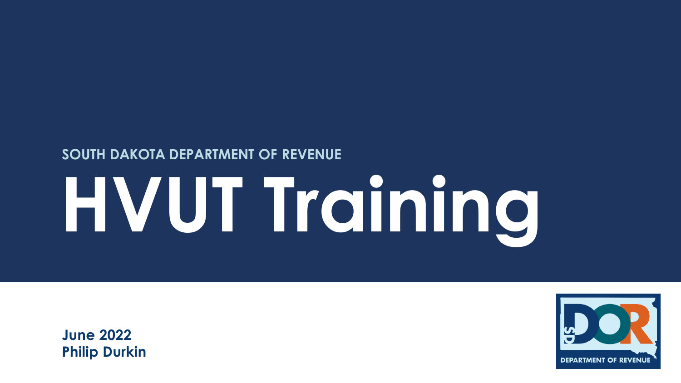#### **SOUTH DAKOTA DEPARTMENT OF REVENUE**

# **HVUT Training**

**June 2022 Philip Durkin**

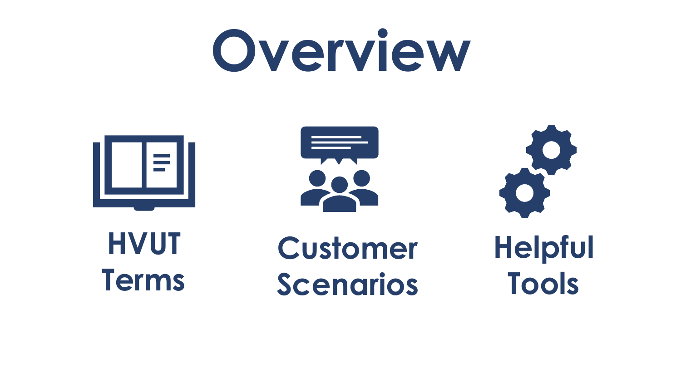

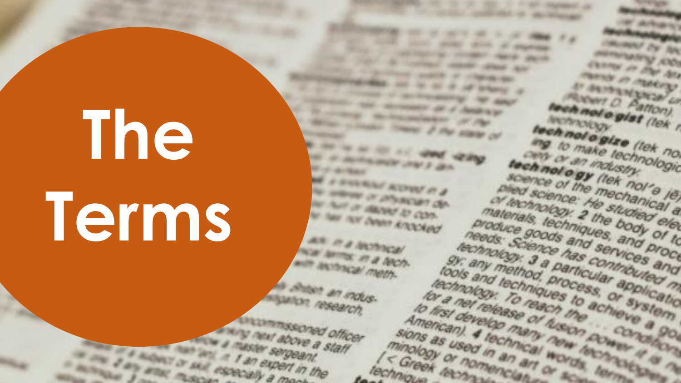# **The Terms**

**SEPTER STERNED STATE STATE SEAMANT A** 

**COMPOSITION CONTINUES** 

with their play with a station **COLORADO DE CALENDAR AND AND AND** 

the property of Contract week state and

tended on in all of place a

**THE MUNICIPALITY OF A ANGREY** 

the the construction of the France Screen of the scales of

of the freezeasty. At days

**CONTRACTOR** COMPANY

**CONTRACTOR** AND ANY

**CARDINAL OV 2 BA** 

**MARKAY ROWAL** 

No comme or provident et al.

*CONTRACTOR DE CON***TRACTOR** 

**IF THE REPORT OF CONTRACT OF THE REAL** 

All in a thomas

**CONTRACTOR** 

auto anche per di teco

**All Shapes an indus.** 

**ANTIQUE TO SERVERE** 

**UNIVERSITY SECONDO Officer** 

**Service Above a start** 

a master sergeant

above a su

The Cover of the Contractor Services

**WARE & ALGONY OF BRACK AND** 

**CALTIMORE AT** 

**With an Inch** 

**IN ANNY Incidence** 

**CRUISE DE AV** 

ministering Ave

CLEAN IS THE ALL

The Meridian Company

**EL BRITAN VIDEO DE** en noto platfon)

tech not o glat (lek

technologize (lek not then not o'gize (lek not

ehnology (let) technology mously

science of the mechanical a

plied science of the mechanical a

plied science: He studied at materials, techniques, and of the

materials, techniques, and proces

materials, techniques, and proces produce goods and services and production of the production of the production of the production of the production of the production of the production of the production of the production of the production of the production needs: Science has services and process.<br>It any method, particular applicand

rechnology, a particular application and rechniques to achieve the control of the care of the care of the care of the care of the care of the care of the care of the care of the care of the care of the care of the care of

as used the many new control and the many first develop the many frequency is a chief of the many first development of the many frequency and the many frequency and the many frequency and the many frequency and the many fr

fechnology factor achieve a control as used in an included the care of the control achieve a control and the care of the care of the care of the care of the care of the care of the care of the care of the care of the care rechnology for the case of the control of the technology of the case of the control of the case of the control of the case of the control of the control of the control of the control of the control of the control of the co

for a not release of the chieve a got a mercan) a technical many for concern and a

American), 4 fechnical morals and announced in an art of the term of the company of the company of the company of the company of the company of the company of the company of the company of the company of the company of the

American), 4 fechnical News 20

minology or nomenclan or

I < Greek or nomen

technique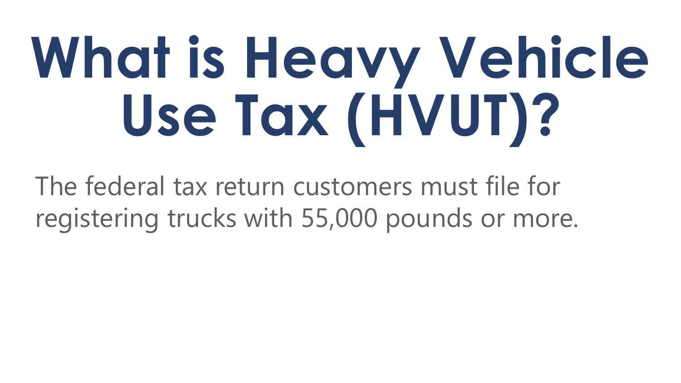## **What is Heavy Vehicle Use Tax (HVUT)?**

The federal tax return customers must file for registering trucks with 55,000 pounds or more.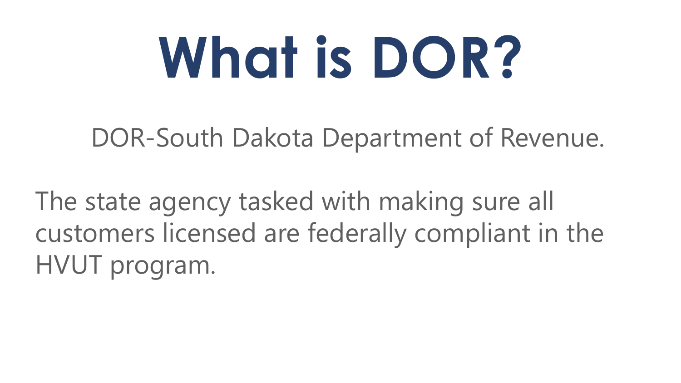### **What is DOR?**

#### DOR-South Dakota Department of Revenue.

The state agency tasked with making sure all customers licensed are federally compliant in the HVUT program.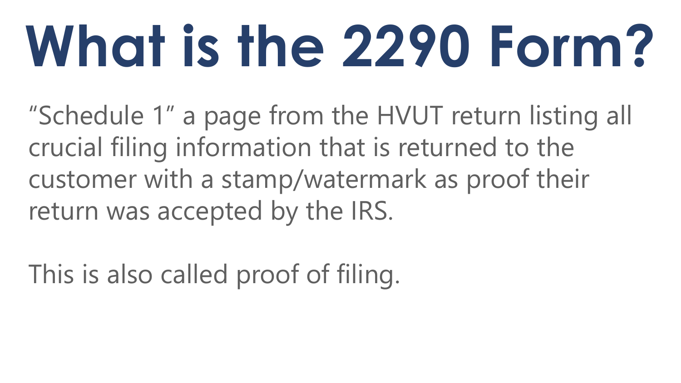## **What is the 2290 Form?**

"Schedule 1" a page from the HVUT return listing all crucial filing information that is returned to the customer with a stamp/watermark as proof their return was accepted by the IRS.

This is also called proof of filing.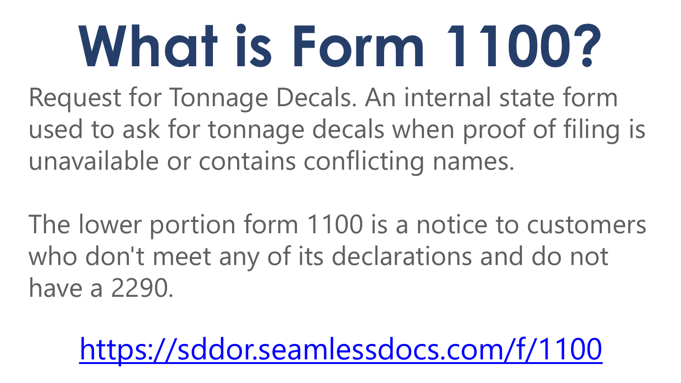## **What is Form 1100?**

Request for Tonnage Decals. An internal state form used to ask for tonnage decals when proof of filing is unavailable or contains conflicting names.

The lower portion form 1100 is a notice to customers who don't meet any of its declarations and do not have a 2290.

<https://sddor.seamlessdocs.com/f/1100>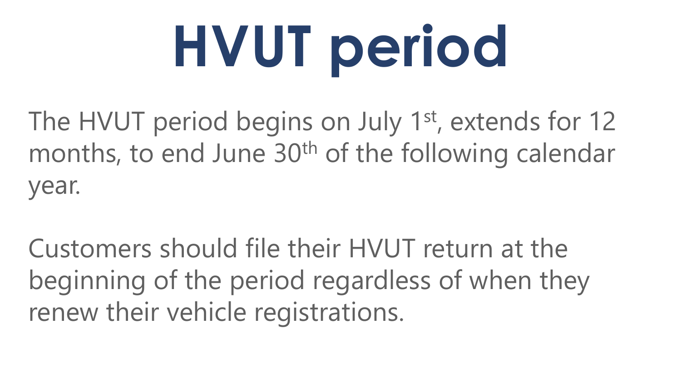## **HVUT period**

The HVUT period begins on July 1<sup>st</sup>, extends for 12 months, to end June 30<sup>th</sup> of the following calendar year.

Customers should file their HVUT return at the beginning of the period regardless of when they renew their vehicle registrations.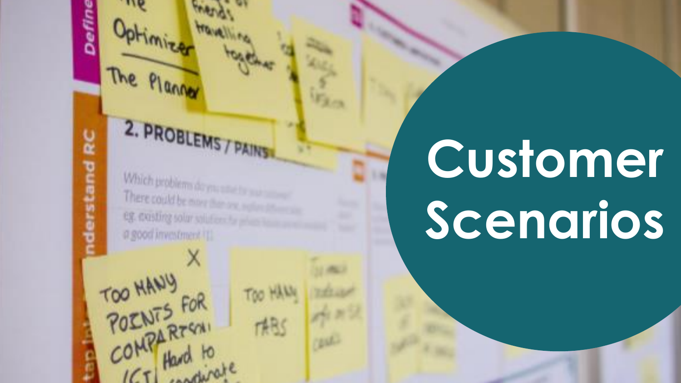### 2. PROBLEMS / PAINS

**Video** 

mo

The Planner

TOO HANY<br>POENTS FOR

ā

tand RC

Which problem do you There could be more proeg. existing solar solution is a good investment [1]

Hara tirote

TOO HANG

TABS

### **Customer Scenarios**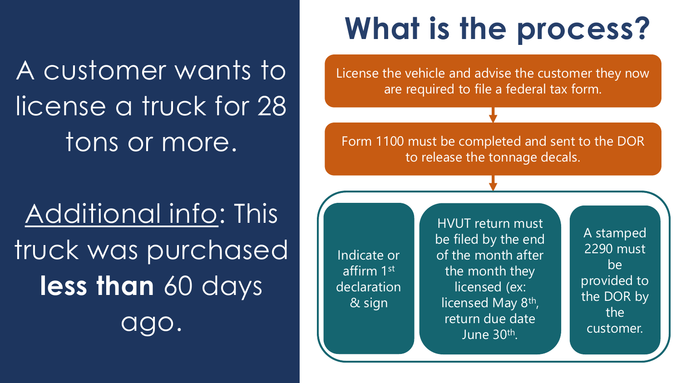A customer wants to license a truck for 28 tons or more.

Additional info: This truck was purchased **less than** 60 days ago.

#### **What is the process?**

License the vehicle and advise the customer they now are required to file a federal tax form.

Form 1100 must be completed and sent to the DOR to release the tonnage decals.

Indicate or affirm 1st declaration & sign

HVUT return must be filed by the end of the month after the month they licensed (ex: licensed May 8<sup>th</sup>, return due date June 30th .

A stamped 2290 must be provided to the DOR by the customer.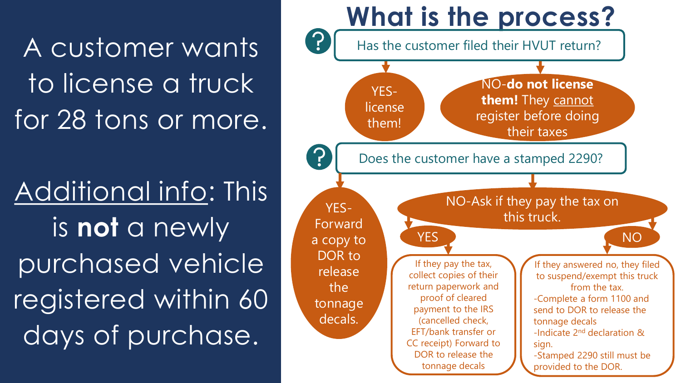A customer wants to license a truck for 28 tons or more.

Additional info: This is **not** a newly purchased vehicle registered within 60 days of purchase.

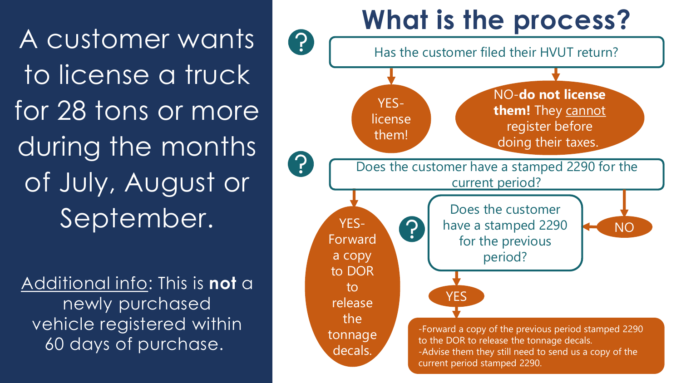A customer wants to license a truck for 28 tons or more during the months of July, August or September.

Additional info: This is **not** a newly purchased vehicle registered within 60 days of purchase.

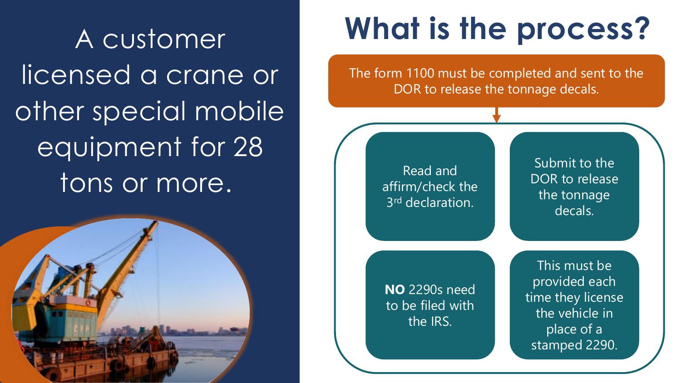A customer licensed a crane or other special mobile equipment for 28 tons or more.



#### **What is the process?**

The form 1100 must be completed and sent to the DOR to release the tonnage decals.

> Read and affirm/check the 3<sup>rd</sup> declaration.

Submit to the DOR to release the tonnage decals.

**NO** 2290s need to be filed with the IRS.

This must be provided each time they license the vehicle in place of a stamped 2290.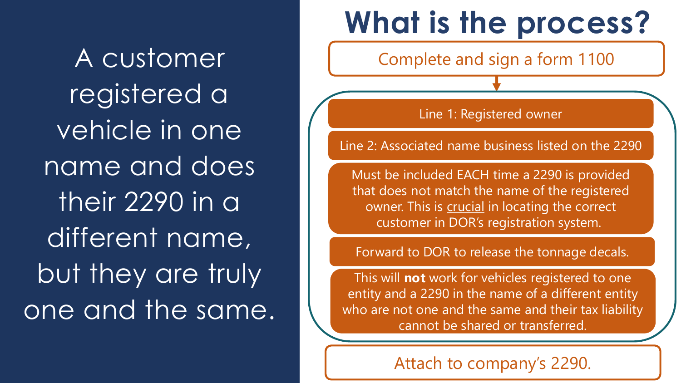A customer registered a vehicle in one name and does their 2290 in a different name, but they are truly one and the same.

#### **What is the process?**

Complete and sign a form 1100

Line 1: Registered owner

Line 2: Associated name business listed on the 2290

Must be included EACH time a 2290 is provided that does not match the name of the registered owner. This is crucial in locating the correct customer in DOR's registration system.

Forward to DOR to release the tonnage decals.

This will **not** work for vehicles registered to one entity and a 2290 in the name of a different entity who are not one and the same and their tax liability cannot be shared or transferred.

Attach to company's 2290.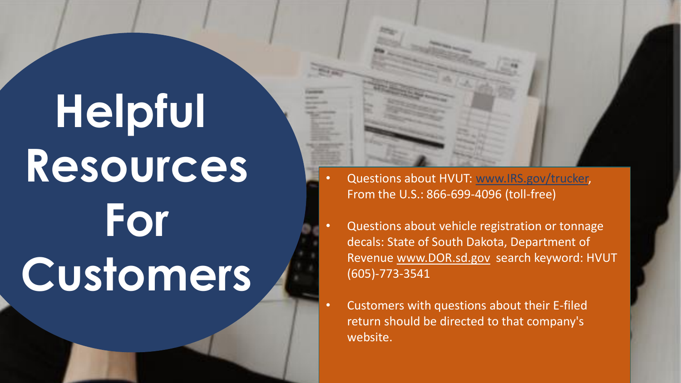### **Helpful Resources For Customers**



- Questions about HVUT: [www.IRS.gov/trucker,](http://www.IRS.gov/trucker) From the U.S.: 866-699-4096 (toll-free)
- Questions about vehicle registration or tonnage decals: State of South Dakota, Department of Revenue [www.DOR.sd.gov](http://www.DOR.sd.gov) search keyword: HVUT (605)-773-3541
- Customers with questions about their E-filed return should be directed to that company's website.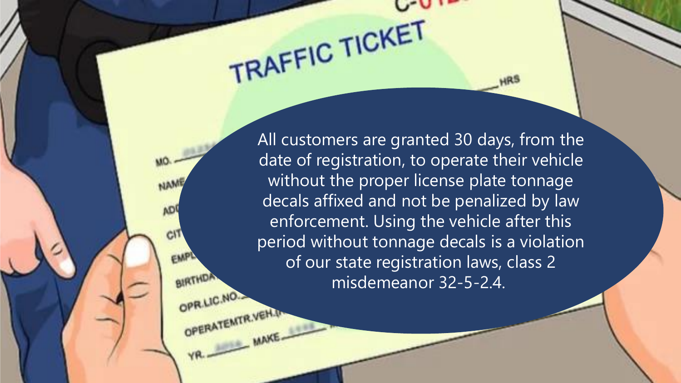**Resources** All customers are granted 30 days, from the date of registration, to operate their vehicle without the proper license plate tonnage decals affixed and not be penalized by law enforcement. Using the vehicle after this period without tonnage decals is a violation of our state registration laws, class 2 misdemeanor 32-5-2.4.

TRAFFIC TICKET

**HOLDEN**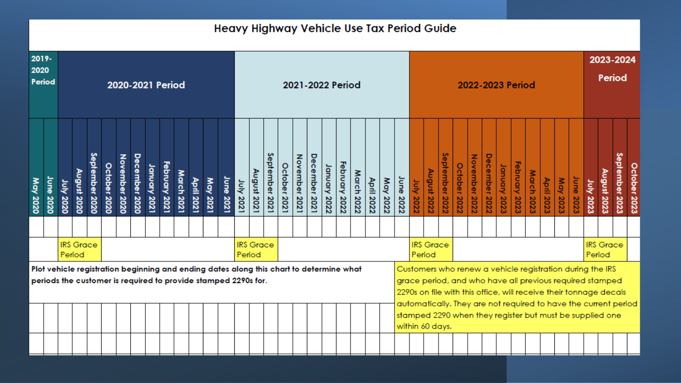#### Heavy Highway Vehicle Use Tax Period Guide

| 2019-<br>2020 |           |                                                                                                                                                                                                                                                                                                                                                                                                                                                                                                           |                  |                |              |               |               |              |               |                   |                   |                            |                  |                  |             |                |              |               |               |              |               |                            |                   |                  |           |           |             |                               |              |                            |               |              |               |            |                   |                 | 2023-2024 |                  |             |                |              |
|---------------|-----------|-----------------------------------------------------------------------------------------------------------------------------------------------------------------------------------------------------------------------------------------------------------------------------------------------------------------------------------------------------------------------------------------------------------------------------------------------------------------------------------------------------------|------------------|----------------|--------------|---------------|---------------|--------------|---------------|-------------------|-------------------|----------------------------|------------------|------------------|-------------|----------------|--------------|---------------|---------------|--------------|---------------|----------------------------|-------------------|------------------|-----------|-----------|-------------|-------------------------------|--------------|----------------------------|---------------|--------------|---------------|------------|-------------------|-----------------|-----------|------------------|-------------|----------------|--------------|
|               | Period    |                                                                                                                                                                                                                                                                                                                                                                                                                                                                                                           | 2020-2021 Period |                |              |               |               |              |               |                   |                   |                            | 2021-2022 Period |                  |             |                |              |               |               |              |               |                            |                   | 2022-2023 Period |           |           |             |                               |              |                            |               |              |               | Period     |                   |                 |           |                  |             |                |              |
| May 2020      | June 2020 | <b>July 2020</b>                                                                                                                                                                                                                                                                                                                                                                                                                                                                                          | August 2020      | September 2020 | October 2020 | November 2020 | December 2020 | January 2021 | February 2021 | <b>March 2021</b> | <b>April 2021</b> | May 2021                   | June 2021        | <b>July 2021</b> | August 2021 | September 2021 | October 2021 | November 2021 | December 2021 | January 2022 | February 2022 | March 2022                 | <b>April 2022</b> | <b>May 2022</b>  | June 2022 | July 2022 | August 2022 | $\frac{8}{6}$<br>ptember 2022 | October 2022 | November 2022              | December 2022 | January 2023 | February 2023 | March 2023 | <b>April 2023</b> | <b>May 2023</b> | June 2023 | <b>July 2023</b> | August 2023 | September 2023 | October 2023 |
|               |           |                                                                                                                                                                                                                                                                                                                                                                                                                                                                                                           |                  |                |              |               |               |              |               |                   |                   |                            |                  |                  |             |                |              |               |               |              |               |                            |                   |                  |           |           |             |                               |              |                            |               |              |               |            |                   |                 |           |                  |             |                |              |
|               |           | <b>IRS</b> Grace<br>Period                                                                                                                                                                                                                                                                                                                                                                                                                                                                                |                  |                |              |               |               |              |               |                   |                   | <b>IRS</b> Grace<br>Period |                  |                  |             |                |              |               |               |              |               | <b>IRS</b> Grace<br>Period |                   |                  |           |           |             |                               |              | <b>IRS</b> Grace<br>Period |               |              |               |            |                   |                 |           |                  |             |                |              |
|               |           | Customers who renew a vehicle registration during the IRS<br>Plot vehicle registration beginning and ending dates along this chart to determine what<br>grace period, and who have all previous required stamped<br>periods the customer is required to provide stamped 2290s for.<br>2290s on file with this office, will receive their tonnage decals<br>automatically. They are not required to have the current period<br>stamped 2290 when they register but must be supplied one<br>within 60 days. |                  |                |              |               |               |              |               |                   |                   |                            |                  |                  |             |                |              |               |               |              |               |                            |                   |                  |           |           |             |                               |              |                            |               |              |               |            |                   |                 |           |                  |             |                |              |
|               |           |                                                                                                                                                                                                                                                                                                                                                                                                                                                                                                           |                  |                |              |               |               |              |               |                   |                   |                            |                  |                  |             |                |              |               |               |              |               |                            |                   |                  |           |           |             |                               |              |                            |               |              |               |            |                   |                 |           |                  |             |                |              |